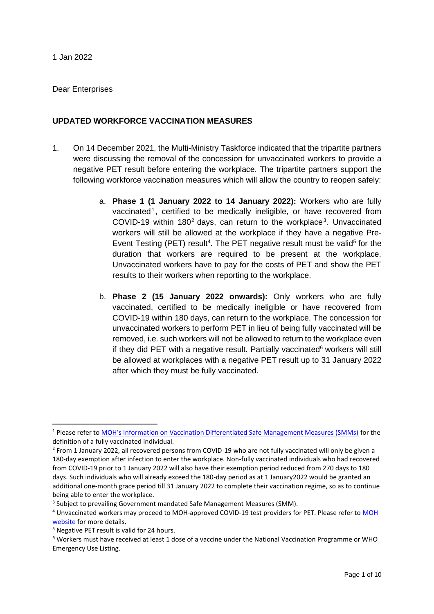#### Dear Enterprises

## **UPDATED WORKFORCE VACCINATION MEASURES**

- 1. On 14 December 2021, the Multi-Ministry Taskforce indicated that the tripartite partners were discussing the removal of the concession for unvaccinated workers to provide a negative PET result before entering the workplace. The tripartite partners support the following workforce vaccination measures which will allow the country to reopen safely:
	- a. **Phase 1 (1 January 2022 to 14 January 2022):** Workers who are fully vaccinated<sup>1</sup>, certified to be medically ineligible, or have recovered from COVID-19 within  $180<sup>2</sup>$  days, can return to the workplace<sup>3</sup>. Unvaccinated workers will still be allowed at the workplace if they have a negative Pre-Event Testing (PET) result<sup>4</sup>. The PET negative result must be valid<sup>5</sup> for the duration that workers are required to be present at the workplace. Unvaccinated workers have to pay for the costs of PET and show the PET results to their workers when reporting to the workplace.
	- b. **Phase 2 (15 January 2022 onwards):** Only workers who are fully vaccinated, certified to be medically ineligible or have recovered from COVID-19 within 180 days, can return to the workplace. The concession for unvaccinated workers to perform PET in lieu of being fully vaccinated will be removed, i.e. such workers will not be allowed to return to the workplace even if they did PET with a negative result. Partially vaccinated $6$  workers will still be allowed at workplaces with a negative PET result up to 31 January 2022 after which they must be fully vaccinated.

<sup>1</sup> Please refer to [MOH's Information on Vaccination Differentiated Safe Management Measures \(SMMs\)](https://file.go.gov.sg/vdsmminfo.pdf) for the definition of a fully vaccinated individual.

<sup>&</sup>lt;sup>2</sup> From 1 January 2022, all recovered persons from COVID-19 who are not fully vaccinated will only be given a 180-day exemption after infection to enter the workplace. Non-fully vaccinated individuals who had recovered from COVID-19 prior to 1 January 2022 will also have their exemption period reduced from 270 days to 180 days. Such individuals who will already exceed the 180-day period as at 1 January2022 would be granted an additional one-month grace period till 31 January 2022 to complete their vaccination regime, so as to continue being able to enter the workplace.

<sup>&</sup>lt;sup>3</sup> Subject to prevailing Government mandated Safe Management Measures (SMM).

<sup>4</sup> Unvaccinated workers may proceed to MOH-approved COVID-19 test providers for PET. Please refer to [MOH](https://www.moh.gov.sg/covid-19/statistics/pet)  [website](https://www.moh.gov.sg/covid-19/statistics/pet) for more details.

<sup>5</sup> Negative PET result is valid for 24 hours.

<sup>6</sup> Workers must have received at least 1 dose of a vaccine under the National Vaccination Programme or WHO Emergency Use Listing.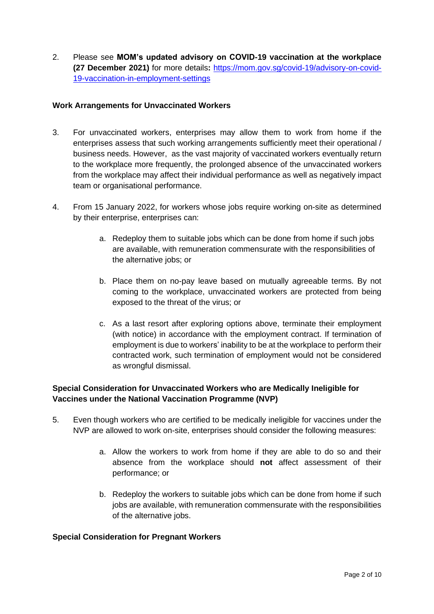2. Please see **MOM's updated advisory on COVID-19 vaccination at the workplace (27 December 2021)** for more details**:** [https://mom.gov.sg/covid-19/advisory-on-covid-](https://mom.gov.sg/covid-19/advisory-on-covid-19-vaccination-in-employment-settings)[19-vaccination-in-employment-settings](https://mom.gov.sg/covid-19/advisory-on-covid-19-vaccination-in-employment-settings)

## **Work Arrangements for Unvaccinated Workers**

- 3. For unvaccinated workers, enterprises may allow them to work from home if the enterprises assess that such working arrangements sufficiently meet their operational / business needs. However, as the vast majority of vaccinated workers eventually return to the workplace more frequently, the prolonged absence of the unvaccinated workers from the workplace may affect their individual performance as well as negatively impact team or organisational performance.
- 4. From 15 January 2022, for workers whose jobs require working on-site as determined by their enterprise, enterprises can:
	- a. Redeploy them to suitable jobs which can be done from home if such jobs are available, with remuneration commensurate with the responsibilities of the alternative jobs; or
	- b. Place them on no-pay leave based on mutually agreeable terms. By not coming to the workplace, unvaccinated workers are protected from being exposed to the threat of the virus; or
	- c. As a last resort after exploring options above, terminate their employment (with notice) in accordance with the employment contract. If termination of employment is due to workers' inability to be at the workplace to perform their contracted work, such termination of employment would not be considered as wrongful dismissal.

# **Special Consideration for Unvaccinated Workers who are Medically Ineligible for Vaccines under the National Vaccination Programme (NVP)**

- 5. Even though workers who are certified to be medically ineligible for vaccines under the NVP are allowed to work on-site, enterprises should consider the following measures:
	- a. Allow the workers to work from home if they are able to do so and their absence from the workplace should **not** affect assessment of their performance; or
	- b. Redeploy the workers to suitable jobs which can be done from home if such jobs are available, with remuneration commensurate with the responsibilities of the alternative jobs.

## **Special Consideration for Pregnant Workers**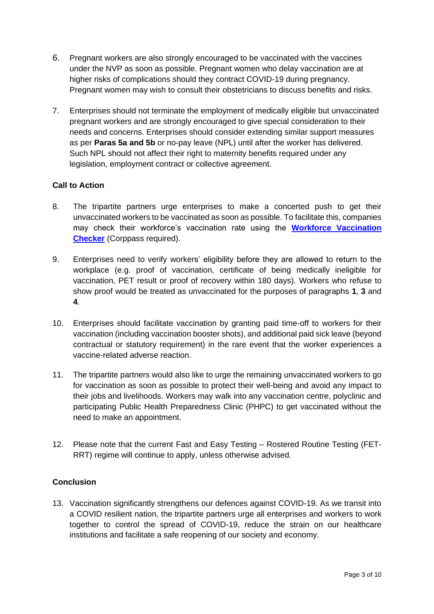- 6. Pregnant workers are also strongly encouraged to be vaccinated with the vaccines under the NVP as soon as possible. Pregnant women who delay vaccination are at higher risks of complications should they contract COVID-19 during pregnancy. Pregnant women may wish to consult their obstetricians to discuss benefits and risks.
- 7. Enterprises should not terminate the employment of medically eligible but unvaccinated pregnant workers and are strongly encouraged to give special consideration to their needs and concerns. Enterprises should consider extending similar support measures as per **Paras 5a and 5b** or no-pay leave (NPL) until after the worker has delivered. Such NPL should not affect their right to maternity benefits required under any legislation, employment contract or collective agreement.

## **Call to Action**

- 8. The tripartite partners urge enterprises to make a concerted push to get their unvaccinated workers to be vaccinated as soon as possible. To facilitate this, companies may check their workforce's vaccination rate using the **[Workforce Vaccination](https://go.gov.sg/percentvaccinated)  [Checker](https://go.gov.sg/percentvaccinated)** (Corppass required).
- 9. Enterprises need to verify workers' eligibility before they are allowed to return to the workplace (e.g. proof of vaccination, certificate of being medically ineligible for vaccination, PET result or proof of recovery within 180 days). Workers who refuse to show proof would be treated as unvaccinated for the purposes of paragraphs **1**, **3** and **4**.
- 10. Enterprises should facilitate vaccination by granting paid time-off to workers for their vaccination (including vaccination booster shots), and additional paid sick leave (beyond contractual or statutory requirement) in the rare event that the worker experiences a vaccine-related adverse reaction.
- 11. The tripartite partners would also like to urge the remaining unvaccinated workers to go for vaccination as soon as possible to protect their well-being and avoid any impact to their jobs and livelihoods. Workers may walk into any vaccination centre, polyclinic and participating Public Health Preparedness Clinic (PHPC) to get vaccinated without the need to make an appointment.
- 12. Please note that the current Fast and Easy Testing Rostered Routine Testing (FET-RRT) regime will continue to apply, unless otherwise advised.

# **Conclusion**

13. Vaccination significantly strengthens our defences against COVID-19. As we transit into a COVID resilient nation, the tripartite partners urge all enterprises and workers to work together to control the spread of COVID-19, reduce the strain on our healthcare institutions and facilitate a safe reopening of our society and economy.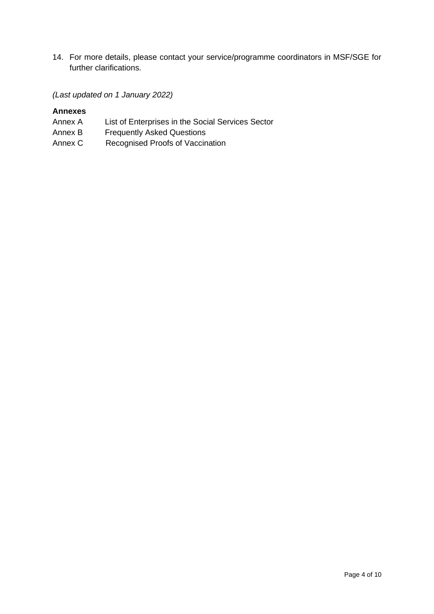14. For more details, please contact your service/programme coordinators in MSF/SGE for further clarifications.

#### *(Last updated on 1 January 2022)*

## **Annexes**

- Annex A List of Enterprises in the Social Services Sector
- Annex B Frequently Asked Questions
- Annex C Recognised Proofs of Vaccination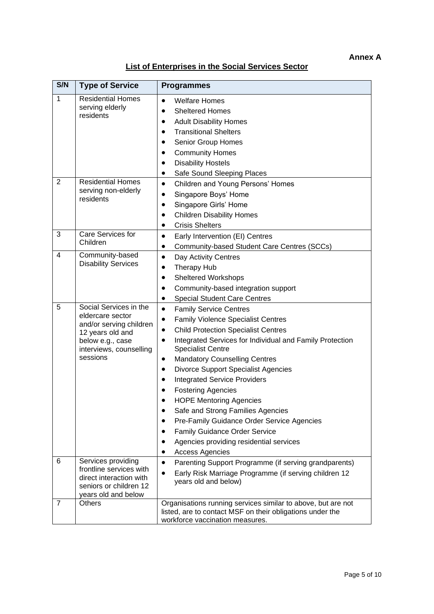# **List of Enterprises in the Social Services Sector**

| S/N            | <b>Type of Service</b>                                                                                                                               | <b>Programmes</b>                                                                                                                                                                                                                                                                                                                                                                                                                                                                                                                                                                                                                                                                                                                                 |
|----------------|------------------------------------------------------------------------------------------------------------------------------------------------------|---------------------------------------------------------------------------------------------------------------------------------------------------------------------------------------------------------------------------------------------------------------------------------------------------------------------------------------------------------------------------------------------------------------------------------------------------------------------------------------------------------------------------------------------------------------------------------------------------------------------------------------------------------------------------------------------------------------------------------------------------|
| $\mathbf 1$    | <b>Residential Homes</b><br>serving elderly<br>residents                                                                                             | <b>Welfare Homes</b><br>$\bullet$<br><b>Sheltered Homes</b><br>$\bullet$<br><b>Adult Disability Homes</b><br>$\bullet$<br><b>Transitional Shelters</b><br>$\bullet$<br>Senior Group Homes<br>$\bullet$<br><b>Community Homes</b><br>$\bullet$<br><b>Disability Hostels</b><br>$\bullet$<br>Safe Sound Sleeping Places                                                                                                                                                                                                                                                                                                                                                                                                                             |
| $\overline{2}$ | <b>Residential Homes</b><br>serving non-elderly<br>residents                                                                                         | <b>Children and Young Persons' Homes</b><br>$\bullet$<br>Singapore Boys' Home<br>$\bullet$<br>Singapore Girls' Home<br>$\bullet$<br><b>Children Disability Homes</b><br>$\bullet$<br><b>Crisis Shelters</b><br>$\bullet$                                                                                                                                                                                                                                                                                                                                                                                                                                                                                                                          |
| 3              | Care Services for<br>Children                                                                                                                        | Early Intervention (EI) Centres<br>$\bullet$<br>Community-based Student Care Centres (SCCs)<br>$\bullet$                                                                                                                                                                                                                                                                                                                                                                                                                                                                                                                                                                                                                                          |
| $\overline{4}$ | Community-based<br><b>Disability Services</b>                                                                                                        | Day Activity Centres<br>$\bullet$<br>Therapy Hub<br>٠<br><b>Sheltered Workshops</b><br>$\bullet$<br>Community-based integration support<br>٠<br><b>Special Student Care Centres</b><br>$\bullet$                                                                                                                                                                                                                                                                                                                                                                                                                                                                                                                                                  |
| 5              | Social Services in the<br>eldercare sector<br>and/or serving children<br>12 years old and<br>below e.g., case<br>interviews, counselling<br>sessions | <b>Family Service Centres</b><br>$\bullet$<br><b>Family Violence Specialist Centres</b><br>٠<br><b>Child Protection Specialist Centres</b><br>$\bullet$<br>Integrated Services for Individual and Family Protection<br>$\bullet$<br><b>Specialist Centre</b><br><b>Mandatory Counselling Centres</b><br>$\bullet$<br><b>Divorce Support Specialist Agencies</b><br>$\bullet$<br><b>Integrated Service Providers</b><br>$\bullet$<br><b>Fostering Agencies</b><br>$\bullet$<br><b>HOPE Mentoring Agencies</b><br>Safe and Strong Families Agencies<br>$\bullet$<br>Pre-Family Guidance Order Service Agencies<br>$\bullet$<br>Family Guidance Order Service<br>Agencies providing residential services<br>$\bullet$<br><b>Access Agencies</b><br>٠ |
| 6              | Services providing<br>frontline services with<br>direct interaction with<br>seniors or children 12<br>years old and below                            | Parenting Support Programme (if serving grandparents)<br>$\bullet$<br>Early Risk Marriage Programme (if serving children 12<br>$\bullet$<br>years old and below)                                                                                                                                                                                                                                                                                                                                                                                                                                                                                                                                                                                  |
| 7              | <b>Others</b>                                                                                                                                        | Organisations running services similar to above, but are not<br>listed, are to contact MSF on their obligations under the<br>workforce vaccination measures.                                                                                                                                                                                                                                                                                                                                                                                                                                                                                                                                                                                      |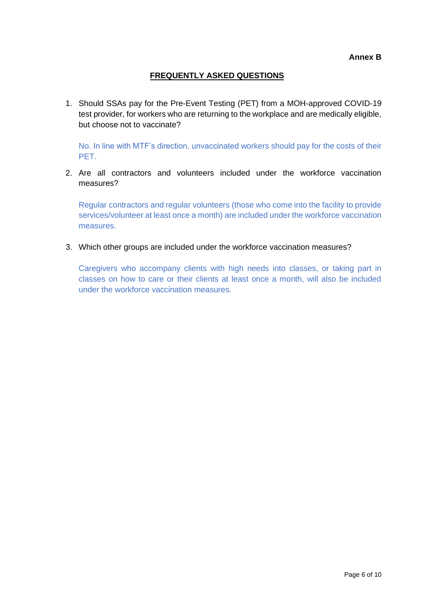# **FREQUENTLY ASKED QUESTIONS**

1. Should SSAs pay for the Pre-Event Testing (PET) from a MOH-approved COVID-19 test provider, for workers who are returning to the workplace and are medically eligible, but choose not to vaccinate?

No. In line with MTF's direction, unvaccinated workers should pay for the costs of their PET.

2. Are all contractors and volunteers included under the workforce vaccination measures?

Regular contractors and regular volunteers (those who come into the facility to provide services/volunteer at least once a month) are included under the workforce vaccination measures.

3. Which other groups are included under the workforce vaccination measures?

Caregivers who accompany clients with high needs into classes, or taking part in classes on how to care or their clients at least once a month, will also be included under the workforce vaccination measures.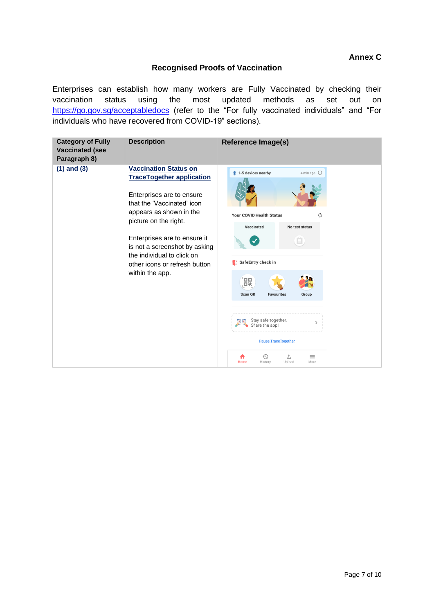# **Annex C**

#### **Recognised Proofs of Vaccination**

Enterprises can establish how many workers are Fully Vaccinated by checking their vaccination status using the most updated methods as set out on <https://go.gov.sg/acceptabledocs> (refer to the "For fully vaccinated individuals" and "For individuals who have recovered from COVID-19" sections).

| <b>Category of Fully</b><br><b>Vaccinated (see</b><br>Paragraph 8) | <b>Description</b>                                                                                                                                                                                                                                                                                                                 | <b>Reference Image(s)</b>                                                                                                                                                                                                                                                                                                                                |
|--------------------------------------------------------------------|------------------------------------------------------------------------------------------------------------------------------------------------------------------------------------------------------------------------------------------------------------------------------------------------------------------------------------|----------------------------------------------------------------------------------------------------------------------------------------------------------------------------------------------------------------------------------------------------------------------------------------------------------------------------------------------------------|
| $(1)$ and $(3)$                                                    | <b>Vaccination Status on</b><br><b>TraceTogether application</b><br>Enterprises are to ensure<br>that the 'Vaccinated' icon<br>appears as shown in the<br>picture on the right.<br>Enterprises are to ensure it<br>is not a screenshot by asking<br>the individual to click on<br>other icons or refresh button<br>within the app. | <b>1-5 devices nearby</b><br>4 min ago $(i)$<br>Ò<br>Your COVID Health Status<br>Vaccinated<br>No test status<br>$\blacksquare$<br>SafeEntry check in<br>Ē.<br>Scan QR<br><b>Favourites</b><br>Group<br>Stay safe together.<br>$\rightarrow$<br>Share the app!<br><b>Pause Trace Together</b><br>⊕<br>圡<br>$\equiv$<br>History<br>Upload<br>More<br>Home |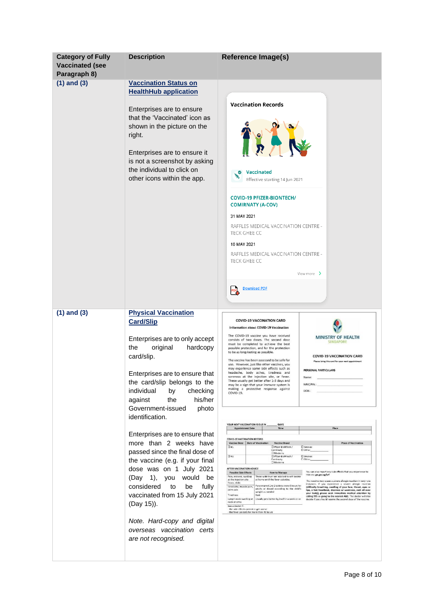| <b>Category of Fully</b><br><b>Vaccinated (see</b><br>Paragraph 8) | <b>Description</b>                                                                                                                                                                                                                                                                            | <b>Reference Image(s)</b>                                                                                                                                                                                                                                                                                                                                                                                                                                                                                                                                                                                                                                                                                                                                                                                                                                                                                                                                                                                                  |
|--------------------------------------------------------------------|-----------------------------------------------------------------------------------------------------------------------------------------------------------------------------------------------------------------------------------------------------------------------------------------------|----------------------------------------------------------------------------------------------------------------------------------------------------------------------------------------------------------------------------------------------------------------------------------------------------------------------------------------------------------------------------------------------------------------------------------------------------------------------------------------------------------------------------------------------------------------------------------------------------------------------------------------------------------------------------------------------------------------------------------------------------------------------------------------------------------------------------------------------------------------------------------------------------------------------------------------------------------------------------------------------------------------------------|
| $(1)$ and $(3)$                                                    | <b>Vaccination Status on</b><br><b>HealthHub application</b>                                                                                                                                                                                                                                  |                                                                                                                                                                                                                                                                                                                                                                                                                                                                                                                                                                                                                                                                                                                                                                                                                                                                                                                                                                                                                            |
|                                                                    | Enterprises are to ensure<br>that the 'Vaccinated' icon as<br>shown in the picture on the<br>right.<br>Enterprises are to ensure it<br>is not a screenshot by asking<br>the individual to click on<br>other icons within the app.                                                             | <b>Vaccination Records</b><br>Vaccinated<br>$\bullet$<br>Effective starting 14 Jun 2021<br><b>COVID-19 PFIZER-BIONTECH/</b><br><b>COMIRNATY (A-COV)</b><br>31 MAY 2021<br>RAFFLES MEDICAL VACCINATION CENTRE -<br>TECK GHEE CC<br>10 MAY 2021<br>RAFFLES MEDICAL VACCINATION CENTRE -<br>TECK GHEE CC<br>View more $\rightarrow$<br><b>Download PDF</b>                                                                                                                                                                                                                                                                                                                                                                                                                                                                                                                                                                                                                                                                    |
| $(1)$ and $(3)$                                                    | <b>Physical Vaccination</b><br><b>Card/Slip</b>                                                                                                                                                                                                                                               | <b>COVID-19 VACCINATION CARD</b>                                                                                                                                                                                                                                                                                                                                                                                                                                                                                                                                                                                                                                                                                                                                                                                                                                                                                                                                                                                           |
|                                                                    | Enterprises are to only accept<br>the<br>original<br>hardcopy<br>card/slip.<br>Enterprises are to ensure that<br>the card/slip belongs to the<br>individual<br>by<br>checking<br>his/her<br>the<br>against<br>Government-issued<br>photo<br>identification.<br>Enterprises are to ensure that | Information about COVID-19 Vaccination<br>The COVID-19 vaccine you have received<br>MINISTRY OF HEALTH<br>consists of two doses. The second dose<br>SINGAPORE<br>must be completed to achieve the best<br>possible protection, and for the protection<br>to be as long-lasting as possible.<br><b>COVID-19 VACCINATION CARD</b><br>The vaccine has been assessed to be safe for<br>Please bring this card for your next appointment<br>use. However, just like other vaccines, you<br>may experience some side effects such as<br>PERSONAL PARTICULARS<br>headache, body aches, tiredness and<br>soreness at the injection site, or fever.<br>Name:<br>These usually get better after 1-3 days and<br>may be a sign that your immune system is<br>NRIC/FIN.<br>making a protective response against<br>DOB:<br>COVID-19.<br>YOUR NEXT VACCINATION IS DUE IN<br>DAYS<br>Time<br>Place<br><b>Appointment Date</b>                                                                                                            |
|                                                                    | more than 2 weeks have                                                                                                                                                                                                                                                                        | <b>COVID-19 VACCINATION RECORD</b><br><b>Place of Vaccination</b><br>Vaccine Dose Date of Vaccination<br><b>Vaccine Brand</b>                                                                                                                                                                                                                                                                                                                                                                                                                                                                                                                                                                                                                                                                                                                                                                                                                                                                                              |
|                                                                    | passed since the final dose of                                                                                                                                                                                                                                                                | Pfizer-BioNTech /<br>De2<br><b>C</b> Sinovac<br>Comirnaty<br>C Other<br><b>I</b> Moderna<br>$\square$ #2<br>T Pfizer-BigNilech /<br>C Shovac                                                                                                                                                                                                                                                                                                                                                                                                                                                                                                                                                                                                                                                                                                                                                                                                                                                                               |
|                                                                    | the vaccine (e.g. if your final<br>dose was on 1 July 2021                                                                                                                                                                                                                                    | Cominnaty<br>D Other<br><b>I</b> Moderna<br>AFTER VACCINATION ADVICE<br>You can also report any side effects that you experience to<br><b>Possible Side Effects</b><br><b>How to Manage</b>                                                                                                                                                                                                                                                                                                                                                                                                                                                                                                                                                                                                                                                                                                                                                                                                                                |
|                                                                    | (1),<br>(Day<br>you<br>would<br>be<br>considered<br>fully<br>to<br>be<br>vaccinated from 15 July 2021<br>(Day 15)).                                                                                                                                                                           | HSA vis: go.gov.sg/srf<br>Pain, redness, swelling<br>Those with fever are advised to self isolate<br>at the injection site<br>at home until the fever subsides.<br>This vaccine may cause a severe allergic reaction in very rare<br>Fever, chills<br>instances. If you experience a severe allergic reaction<br>Paracetamol 1 to 2 tablets every 6 hours for<br>Headache, muscle pain,<br>(difficulty breathing, swelling of your face, throat, eyes or<br>adults or dosed according to the child's<br>joint pain<br>lips, a fast heartbeat, dizziness or weakness, rash all over<br>weight as needed<br>your body), please seek immediate medical attention by<br>Tiredness<br>Rest<br>calling 995 or going to the nearest A&E. The doctor will also<br>Lymph node swelling at Usually gets better by itself in a week or so<br>decide if you should receive the second dose of the vaccine.<br>neck or arms<br>See a doctor if:<br>the side effects persist or get worse<br>- the fever persists for more than 48 hours |
|                                                                    | Note. Hard-copy and digital<br>overseas vaccination certs<br>are not recognised.                                                                                                                                                                                                              |                                                                                                                                                                                                                                                                                                                                                                                                                                                                                                                                                                                                                                                                                                                                                                                                                                                                                                                                                                                                                            |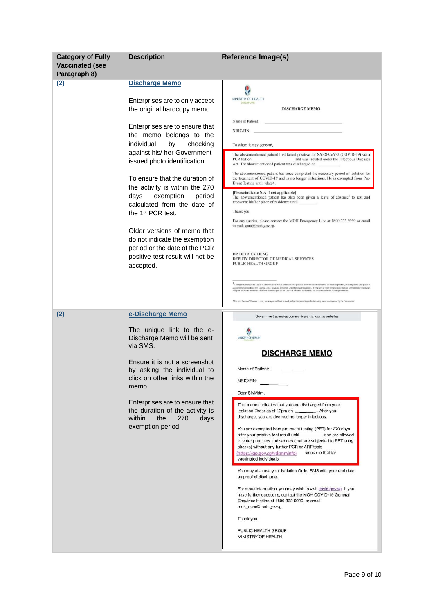| <b>Category of Fully</b><br><b>Vaccinated (see</b><br>Paragraph 8) | <b>Description</b>                                                                                                                                                                                                                                                                                                                                                                                                                                                                                                                                                       | <b>Reference Image(s)</b>                                                                                                                                                                                                                                                                                                                                                                                                                                                                                                                                                                                                                                                                                                                                                                                                                                                                                                                                                                                                       |
|--------------------------------------------------------------------|--------------------------------------------------------------------------------------------------------------------------------------------------------------------------------------------------------------------------------------------------------------------------------------------------------------------------------------------------------------------------------------------------------------------------------------------------------------------------------------------------------------------------------------------------------------------------|---------------------------------------------------------------------------------------------------------------------------------------------------------------------------------------------------------------------------------------------------------------------------------------------------------------------------------------------------------------------------------------------------------------------------------------------------------------------------------------------------------------------------------------------------------------------------------------------------------------------------------------------------------------------------------------------------------------------------------------------------------------------------------------------------------------------------------------------------------------------------------------------------------------------------------------------------------------------------------------------------------------------------------|
| (2)                                                                | <b>Discharge Memo</b><br>Enterprises are to only accept<br>the original hardcopy memo.<br>Enterprises are to ensure that<br>the memo belongs to the<br>individual<br>checking<br>by<br>against his/ her Government-<br>issued photo identification.<br>To ensure that the duration of<br>the activity is within the 270<br>exemption<br>days<br>period<br>calculated from the date of<br>the 1 <sup>st</sup> PCR test.<br>Older versions of memo that<br>do not indicate the exemption<br>period or the date of the PCR<br>positive test result will not be<br>accepted. | MINISTRY OF HEALTH<br><b>DISCHARGE MEMO</b><br>Name of Patient:<br>NRIC/FIN:<br>To whom it may concern,<br>The abovementioned patient first tested positive for SARS-CoV-2 (COVID-19) via a<br>The abovementioned patient has since completed the necessary period of isolation for<br>the treatment of COVID-19 and is no longer infectious. He is exempted from Pre-<br>Event Testing until <date>.<br/>[Please indicate N.A if not applicable]<br/>The abovementioned patient has also been given a leave of absence<sup>1</sup> to rest and<br/>recover at his/her place of residence until<br/>Thank you.<br/>For any queries, please contact the MOH Emergency Line at 1800 333 9999 or email<br/>to moh qsm@moh.gov.sg.<br/>DR DERRICK HENG<br/>DEPUTY DIRECTOR OF MEDICAL SERVICES<br/><b>PUBLIC HEALTH GROUP</b></date>                                                                                                                                                                                                |
|                                                                    |                                                                                                                                                                                                                                                                                                                                                                                                                                                                                                                                                                          | $^{\rm 1}$ During the period of the Lasse of Absence, you should ramein in your place of accommodation' rasidance as much as possible, and only leave your place of<br>acconmediatentesidence for essentials (e.g., food and greceries, urgent medical treatment). If you have a price non-pressing medical appointment, you should<br>oull your healthoure provider and inform them that you are on Lou<br>After your Leave of Absence is over, you may report back to work, subject to provailing safe distancing measures imposed by the Government.                                                                                                                                                                                                                                                                                                                                                                                                                                                                         |
| (2)                                                                | e-Discharge Memo<br>The unique link to the e-<br>Discharge Memo will be sent<br>via SMS.<br>Ensure it is not a screenshot<br>by asking the individual to<br>click on other links within the<br>memo.<br>Enterprises are to ensure that<br>the duration of the activity is<br>within<br>the<br>270<br>days<br>exemption period.                                                                                                                                                                                                                                           | Government agencies communicate via .gov.sg websites<br>MINISTRY OF HEALTH<br><b>DISCHARGE MEMO</b><br>Name of Patient:<br>NRIC/FIN:<br>Dear Sir/Mdm.<br>This memo indicates that you are discharged from your<br>Isolation Order as of 12pm on ___________. After your<br>discharge, you are deemed no longer infectious.<br>You are exempted from pre-event testing (PET) for 270 days<br>after your positive test result until_______________ and are allowed<br>to enter premises and venues (that are subjected to PET entry<br>checks) without any further PCR or ART tests<br>similar to that for<br>(https://go.gov.sg/vdsmminfo)<br>vaccinated individuals.<br>You may also use your Isolation Order SMS with your end date<br>as proof of discharge.<br>For more information, you may wish to visit covid.gov.sg. If you<br>have further questions, contact the MOH COVID-19 General<br>Enquiries Hotline at 1800 333 9999, or email<br>moh_qsm@moh.gov.sg<br>Thank you.<br>PUBLIC HEALTH GROUP<br>MINISTRY OF HEALTH |